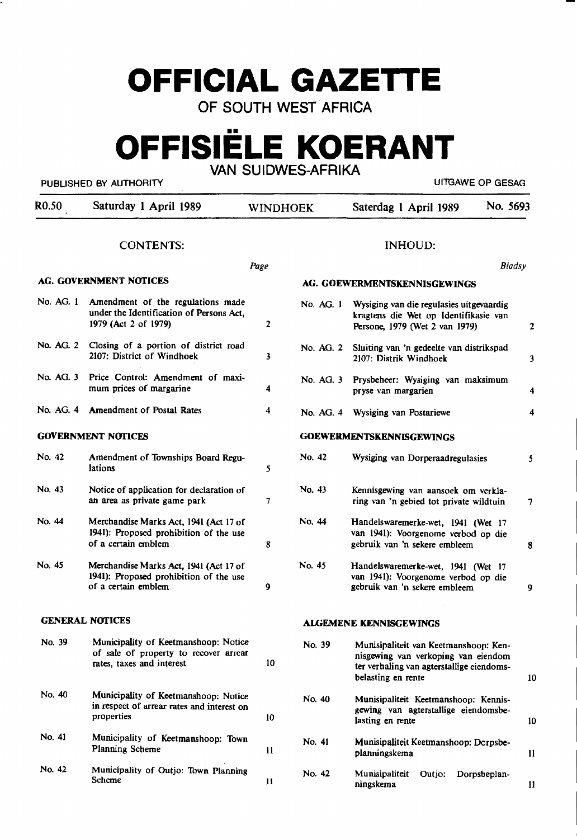# **OFFICIAL GAZETTE**

OF SOUTH WEST AFRICA

# **OFFISIELE KOERANT**

VAN SUIDWES-AFRIKA

PUBLISHED BY AUTHORITY **AUTHORITY Example 2012 12:30 THE SECOND METAL CONTRACT CONTRACT OF GESAG** 

| R <sub>0.50</sub> | Saturday 1 April 1989                                                                                      | <b>WINDHOEK</b> |           | Saterdag 1 April 1989                                                                                                                           | No. 5693 |               |
|-------------------|------------------------------------------------------------------------------------------------------------|-----------------|-----------|-------------------------------------------------------------------------------------------------------------------------------------------------|----------|---------------|
|                   | <b>CONTENTS:</b>                                                                                           |                 |           | <b>INHOUD:</b>                                                                                                                                  |          |               |
|                   |                                                                                                            | Page            |           |                                                                                                                                                 | Bladsy   |               |
|                   | AG. GOVERNMENT NOTICES                                                                                     |                 |           | AG. GOEWERMENTSKENNISGEWINGS                                                                                                                    |          |               |
| No. AG. 1         | Amendment of the regulations made<br>under the Identification of Persons Act,<br>1979 (Act 2 of 1979)      | $\mathbf{2}$    | No. AG. 1 | Wysiging van die regulasies uitgevaardig<br>kragtens die Wet op Identifikasie van<br>Persone, 1979 (Wet 2 van 1979)                             |          | $\mathbf{2}$  |
| No. AG. 2         | Closing of a portion of district road<br>2107: District of Windhoek                                        | 3               | No. AG. 2 | Sluiting van 'n gedeelte van distrikspad<br>2107: Distrik Windhoek                                                                              |          | 3             |
| No. AG. 3         | Price Control: Amendment of maxi-<br>mum prices of margarine                                               | 4               | No. AG. 3 | Prysbeheer: Wysiging van maksimum<br>pryse van margarien                                                                                        |          | 4             |
|                   | No. AG. 4 Amendment of Postal Rates                                                                        | 4               | No. AG. 4 | Wysiging van Postariewe                                                                                                                         |          | 4             |
|                   | <b>GOVERNMENT NOTICES</b>                                                                                  |                 |           | <b>GOEWERMENTSKENNISGEWINGS</b>                                                                                                                 |          |               |
| No. 42            | Amendment of Townships Board Regu-<br>lations                                                              | 5               | No. 42    | Wysiging van Dorperaadregulasies                                                                                                                |          | 5.            |
| No. 43            | Notice of application for declaration of<br>an area as private game park                                   | 7               | No. 43    | Kennisgewing van aansoek om verkla-<br>ring van 'n gebied tot private wildtuin                                                                  |          | 7             |
| No. 44            | Merchandise Marks Act, 1941 (Act 17 of<br>1941): Proposed prohibition of the use<br>of a certain emblem    | 8               | No. 44    | Handelswaremerke-wet, 1941 (Wet 17<br>van 1941): Voorgenome verbod op die<br>gebruik van 'n sekere embleem                                      |          | 8             |
| No. 45            | Merchandise Marks Act, 1941 (Act 17 of<br>1941): Proposed prohibition of the use<br>of a certain emblem    | 9               | No. 45    | Handelswaremerke-wet, 1941 (Wet 17<br>van 1941): Voorgenome verbod op die<br>gebruik van 'n sekere embleem                                      |          | 9             |
|                   | <b>GENERAL NOTICES</b>                                                                                     |                 |           | <b>ALGEMENE KENNISGEWINGS</b>                                                                                                                   |          |               |
| No. 39            | Municipality of Keetmanshoop: Notice<br>of sale of property to recover arrear<br>rates, taxes and interest | 10              | No. 39    | Munisipaliteit van Keetmanshoop: Ken-<br>nisgewing van verkoping van eiendom<br>ter verhaling van agterstallige eiendoms-<br>belasting en rente |          | 10            |
| No. 40            | Municipality of Keetmanshoop: Notice<br>in respect of arrear rates and interest on<br>properties           | 10              | No. 40    | Munisipaliteit Keetmanshoop: Kennis-<br>gewing van agterstallige eiendomsbe-<br>lasting en rente                                                |          | 10            |
| No. 41            | Municipality of Keetmanshoop: Town<br>Planning Scheme                                                      | $\mathbf{11}$   | No. 41    | Munisipaliteit Keetmanshoop: Dorpsbe-<br>planningskema                                                                                          |          | 11            |
| No. 42            | Municipality of Outjo: Town Planning<br>Scheme                                                             | 11              | No. 42    | Munisipaliteit<br>Outjo:<br>Dorpsbeplan-<br>ningskema                                                                                           |          | $\mathbf{11}$ |
|                   |                                                                                                            |                 |           |                                                                                                                                                 |          |               |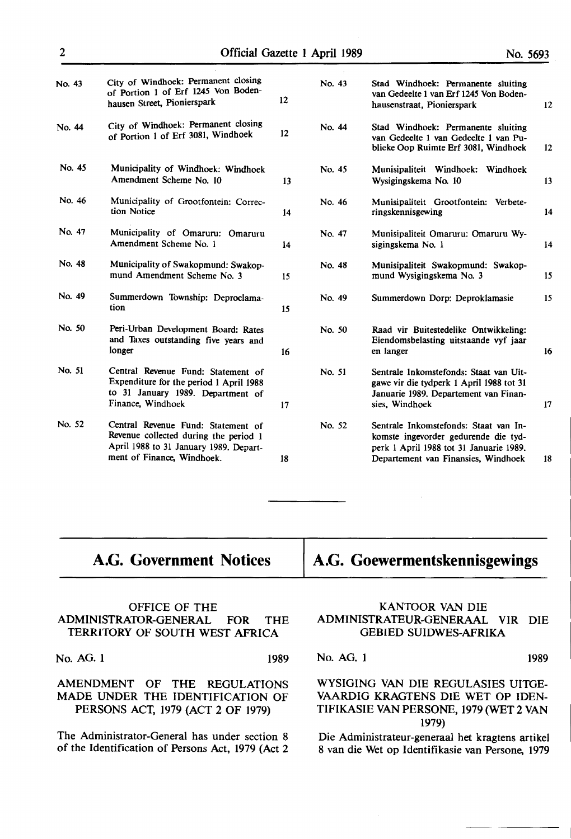| No. 43 | City of Windhoek: Permanent closing<br>of Portion 1 of Erf 1245 Von Boden-<br>hausen Street, Pionierspark                                           | 12 | No. 43 | Stad Windhoek: Permanente sluiting<br>van Gedeelte 1 van Erf 1245 Von Boden-<br>hausenstraat, Pionierspark                                                      | 12 |
|--------|-----------------------------------------------------------------------------------------------------------------------------------------------------|----|--------|-----------------------------------------------------------------------------------------------------------------------------------------------------------------|----|
| No. 44 | City of Windhoek: Permanent closing<br>of Portion 1 of Erf 3081, Windhoek                                                                           | 12 | No. 44 | Stad Windhoek: Permanente sluiting<br>van Gedeelte 1 van Gedeelte 1 van Pu-<br>blieke Oop Ruimte Erf 3081, Windhoek                                             | 12 |
| No. 45 | Municipality of Windhoek: Windhoek<br>Amendment Scheme No. 10                                                                                       | 13 | No. 45 | Munisipaliteit Windhoek:<br>Windhoek<br>Wysigingskema No. 10                                                                                                    | 13 |
| No. 46 | Municipality of Grootfontein: Correc-<br>tion Notice                                                                                                | 14 | No. 46 | Munisipaliteit Grootfontein: Verbete-<br>ringskennisgewing                                                                                                      | 14 |
| No. 47 | Municipality of Omaruru: Omaruru<br>Amendment Scheme No. 1                                                                                          | 14 | No. 47 | Munisipaliteit Omaruru: Omaruru Wy-<br>sigingskema No. 1                                                                                                        | 14 |
| No. 48 | Municipality of Swakopmund: Swakop-<br>mund Amendment Scheme No. 3                                                                                  | 15 | No. 48 | Munisipaliteit Swakopmund: Swakop-<br>mund Wysigingskema No. 3                                                                                                  | 15 |
| No. 49 | Summerdown Township: Deproclama-<br>tion                                                                                                            | 15 | No. 49 | Summerdown Dorp: Deproklamasie                                                                                                                                  | 15 |
| No. 50 | Peri-Urban Development Board: Rates<br>and Taxes outstanding five years and<br>longer                                                               | 16 | No. 50 | Raad vir Buitestedelike Ontwikkeling:<br>Eiendomsbelasting uitstaande vyf jaar<br>en langer                                                                     | 16 |
| No. 51 | Central Revenue Fund: Statement of<br>Expenditure for the period 1 April 1988<br>to 31 January 1989. Department of<br>Finance, Windhoek             | 17 | No. 51 | Sentrale Inkomstefonds: Staat van Uit-<br>gawe vir die tydperk 1 April 1988 tot 31<br>Januarie 1989. Departement van Finan-<br>sies, Windhoek                   | 17 |
| No. 52 | Central Revenue Fund: Statement of<br>Revenue collected during the period 1<br>April 1988 to 31 January 1989. Depart-<br>ment of Finance, Windhoek. | 18 | No. 52 | Sentrale Inkomstefonds: Staat van In-<br>komste ingevorder gedurende die tyd-<br>perk 1 April 1988 tot 31 Januarie 1989.<br>Departement van Finansies, Windhoek | 18 |

## **A.G .. Government Notices**

## **A.G. Goewermentskennisgewings**

#### OFFICE OF THE ADMINISTRATOR-GENERAL FOR THE **TERRITORY** OF SOUTH WEST **AFRICA**

No. AG. 1 1989

AMENDMENT OF THE REGULATIONS MADE UNDER THE IDENTIFICATION OF PERSONS ACT, 1979 (ACT 2 OF 1979)

The Administrator-General has under section 8 of the Identification of Persons Act, 1979 (Act 2

#### **KANTOOR VAN** DIE ADMINISTRATEUR-GENERAAL VIR DIE GEBIED **SUIDWES-AFRIKA**

No. AG. 1 1989

#### WYSIGING VAN DIE REGULASIES UITGE-VAARDIG KRAGTENS DIE WET OP IDEN-TIFIKASIE VAN PERSONE, 1979 (WET 2 VAN 1979)

Die Administrateur-generaal het kragtens artikel 8 van die Wet op Identifikasie van Persone, 1979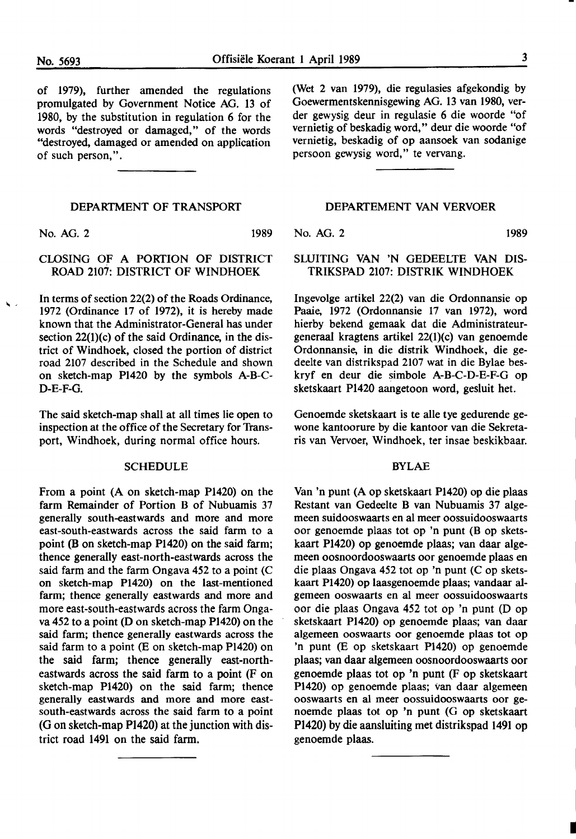of 1979), further amended the regulations promulgated by Government Notice AG. 13 of 1980, by the substitution in regulation 6 for the words "destroyed or damaged," of the words "destroyed, damaged or amended on application of such person,".

#### DEPARTMENT OF TRANSPORT

No. AG. 2 1989

#### CLOSING OF A PORTION OF DISTRICT ROAD 2107: DISTRICT OF WINDHOEK

In terms of section 22(2) of the Roads Ordinance, 1972 (Ordinance 17 of 1972), it is hereby made known that the Administrator-General has under section 22(1)(c) of the said Ordinance, in the district of Windhoek, closed the portion of district road 2107 described in the Schedule and shown on sketch-map P1420 by the symbols A-B-C-D-E-F-G.

The said sketch-map shall at all times lie open to inspection at the office of the Secretary for Transport, Windhoek, during normal office hours.

#### **SCHEDULE**

From a point (A on sketch-map P1420) on the farm Remainder of Portion B of Nubuamis 37 generally south-eastwards and more and more east-south-eastwards across the said farm to a point (B on sketch-map Pl 420) on the said farm; thence generally east-north-eastwards across the said farm and the farm Ongava *452* to a point (C on sketch-map P1420) on the last-mentioned farm; thence generally eastwards and more and more east-south-eastwards across the farm Ongava *452* to a point (D on sketch-map P1420) on the said farm; thence generally eastwards across the said farm to a point (E on sketch-map Pl420) on the said farm; thence generally east-northeastwards across the said farm to a point (F on sketch-map P1420) on the said farm; thence generally eastwards and more and more eastsouth-eastwards across the said farm to a point (G on sketch-map Pl420) at the junction with district road 1491 on the said farm.

(Wet 2 van 1979), die regulasies afgekondig by Goewermentskennisgewing AG. 13 van 1980, verder gewysig deur in regulasie 6 die woorde "of vernietig of beskadig word," deur die woorde "of vernietig, beskadig of op aansoek van sodanige persoon gewysig word," te vervang.

#### DEPARTEMENT VAN VERVOER

No. AG. 2 1989

I

#### SLUITING VAN 'N GEDEELTE VAN DIS-TRIKSPAD 2107: DISTRIK WINDHOEK

Ingevolge artikel 22(2) van die Ordonnansie op Paaie, 1972 (Ordonnansie 17 van 1972), word hierby bekend gemaak dat die Administrateurgeneraal kragtens artikel 22(1)(c) van genoemde Ordonnansie, in die distrik Windhoek, die gedeelte van distrikspad 2107 wat in die Bylae beskryf en deur die simbole A-B-C-D-E-F-G op sketskaart Pl420 aangetoon word, gesluit bet.

Genoemde sketskaart is te alle tye gedurende gewone kantoorure by die kantoor van die Sekretaris van Vervoer, Windhoek, ter insae beskikbaar.

#### BYLAE

Van 'n punt (A op sketskaart P1420) op die plaas Restant van Gedeelte B van Nubuamis 37 algemeen suidooswaarts en al meer oossuidooswaarts oor genoemde plaas tot op 'n punt (B op sketskaart P1420) op genoemde plaas; van daar algemeen oosnoordooswaarts oor genoemde plaas en die plaas Ongava 452 tot op 'n punt (C op sketskaart P1420) op laasgenoemde plaas; vandaar algemeen ooswaarts en al meer oossuidooswaarts oor die plaas Ongava *452* tot op 'n punt (D op sketskaart P1420) op genoemde plaas; van daar algemeen ooswaarts oor genoemde plaas tot op 'n punt (E op sketskaart P1420) op genoemde plaas; van daar algemeen oosnoordooswaarts oor genoemde plaas tot op 'n punt (F op sketskaart P1420) op genoemde plaas; van daar algemeen ooswaarts en al meer oossuidooswaarts oor genoemde plaas tot op 'n punt (G op sketskaart Pl420) by die aansluiting met distrikspad 1491 op genoemde plaas.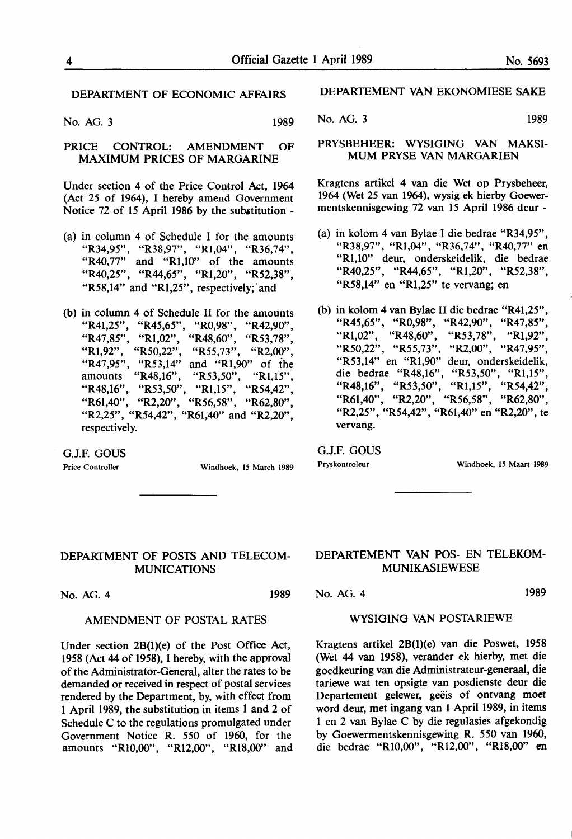#### DEPARTMENT OF ECONOMIC AFFAIRS

No. AG. 3 1989

PRICE CONTROL: AMENDMENT OF MAXIMUM PRICES OF MARGARINE

Under section 4 of the Price Control Act, 1964 (Act 25 of 1964), I hereby amend Government Notice 72 of 15 April 1986 by the substitution -

- (a) in column  $\overline{4}$  of Schedule I for the amounts "R34,95", "R38,97", "Rl,04", "R36,74", "R40,77" and "R1,10" of the amounts "R40,25", "R44,65", "Rl,20", "R52,38", "R58,14" and "R1,25", respectively; and
- (b) in column 4 of Schedule II for the amounts "R41,25", "R45,65", "R0,98", "R42,90", "R47,85", "Rl,02", "R48,60", "R53,78", "Rl,92", "R50,22", "R55,73", "R2,00", "R47,95", "R53,14" and "Rl,90" of the amounts "R48,16", "R53,50", "Rl,15", "R48,16", "R53,50", "Rl,15", "R54,42", "R6l,40", "R2,20", "R56,58", "R62,80", "R2,25", "R54,42", "R61,40" and "R2,20", respectively.

G.J.F. GOUS

Price Controller Windhoek, 15 March 1989

DEPARTEMENT VAN EKONOMIESE SAKE

No. AG. 3 1989

#### PRYSBEHEER: WYSIGING VAN MAKSI-MUM PRYSE VAN MARGARIEN

Kragtens artikel 4 van die Wet op Prysbeheer, 1964 (Wet 25 van 1964), wysig ek hierby Goewermentskennisgewing 72 van 15 April 1986 deur -

- (a) in kolom 4 van Bylae I die bedrae "R34,95", "R38,97", "Rl,04", "R36,74", "R40,77" en "Rl,10" deur, onderskeidelik, die bedrae "R40,25", "R44,65", "Rl,20", "R52,38", "R58,14" en "Rl,25" te vervang; en
- (b) in kolom 4 van Bylae II die bedrae "R41,25", "R45,65", "R0,98", "R42,90", "R47,85", "Rl,02", "R48,60", "R53,78", "Rl,92", "R50,22", "R55,73", "R2,00", "R47,95", "R53,14" en "Rl,90" deur, onderskeidelik, die bedrae "R48,16", "R53,50", "R1,15", "R48,16", "R53,50", "R1,15", "R54,42", "R48,16", "R53,50", "Rl,15", "R54,42", "R61,40", "R2,20", "R56,58", "R62,80", "R2,25", "R54,42", "R61,40" en "R2,20", te vervang.

G.J.F. GOUS

Pryskontroleur Windhoek, IS Maart 1989

#### DEPARTMENT OF POSTS AND TELECOM-MUNICATIONS

No. AG. 4 1989

#### AMENDMENT OF POSTAL RATES

Under section 2B(l){e) of the Post Office Act, 1958 (Act 44 of 1958), I hereby, with the approval of the Administrator-General, alter the rates to be demanded or received in respect of postal services rendered by the Department, by, with effect from 1 April 1989, the substitution in items 1 and 2 of Schedule C to the regulations promulgated under Government Notice R. *550* of 1960, for the amounts **··RI0,00",** "R12,00", **"Rl8,00"** and

#### DEPARTEMENT VAN POS- EN TELEKOM-MUNIKASIEWESE

No. AG. 4 1989

#### WYSIGING VAN POSTARIEWE

Kragtens artikel 2B(l)(e) van die Poswet, 1958 (Wet 44 van 1958), verander ek hierby, met die goedkeuring van die Administrateur-generaal, die tariewe wat ten opsigte van posdienste deur die Departement gelewer, geëis of ontvang moet word deur, met ingang van 1 April 1989, in items 1 en 2 van Bylae C by die regulasies afgekondig by Goewermentskennisgewing R. *550* van 1960, die bedrae "Rl0,00", "Rl2,00", "Rl8,00" en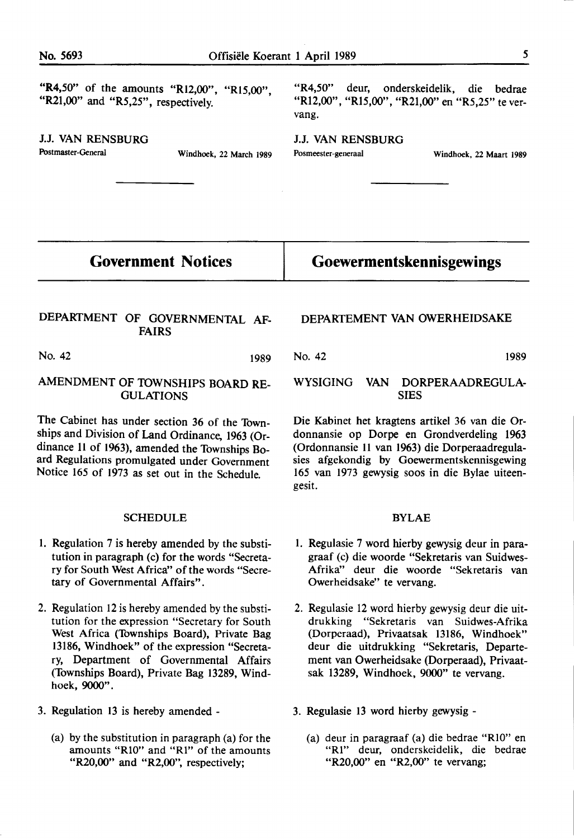"R4,50" of the amounts "R12,00", "R15,00", "R21,00" and "R5,25", respectively.

J.J. VAN RENSBURG Postmaster-General Windhoek, 22 March 1989

"R4,50" deur, onderskeidelik, die bedrae "Rl2,00", "Rl5,00", "R21,00" en "R5,25" te vervang.

J.J. VAN RENSBURG Posmeester-generaal Windhoek, 22 Maart 1989

**Government Notices** 

#### DEPARTMENT OF GOVERNMENTAL AF-FAIRS

No. 42 1989

#### AMENDMENT OF TOWNSHIPS BOARD RE-GULATIONS

The Cabinet has under section 36 of the Townships and Division of Land Ordinance, 1963 (Ordinance 11 of 1963), amended the Townships Board Regulations promulgated under Government Notice 165 of 1973 as set out in the Schedule.

#### SCHEDULE

- I. Regulation 7 is hereby amended by the substitution in paragraph (c) for the words "Secretary for South West Africa" of the words "Secretary of Governmental Affairs".
- 2. Regulation 12 is hereby amended by the substitution for the expression "Secretary for South West Africa (Townships Board), Private Bag 13186, Windhoek" of the expression "Secretary, Department of Governmental Affairs (Townships Board), Private Bag 13289, Windhoek, 9000".
- 3. Regulation 13 is hereby amended
	- (a) by the substitution in paragraph (a) for the amounts **"RIO"** and **"Rl"** of the amounts "R20,00" and **"R2,00",** respectively;

#### DEPARTEMENT VAN OWERHEIDSAKE

**Goewermentskennisgewings** 

No. 42 1989

#### WYSIGING VAN DORPERAADREGULA-SIES

Die Kabinet bet kragtens artikel 36 van die Ordonnansie op Dorpe en Grondverdeling 1963 (Ordonnansie 11 van 1963) die Dorperaadregulasies afgekondig by Goewermentskennisgewing 165 van 1973 gewysig soos in die Bylae uiteengesit.

#### BYLAE

- I. Regulasie 7 word hierby gewysig deur in paragraaf (c) die woorde "Sekretaris van Suidwes-Afrika" deur die woorde "Sekretaris van Owerheidsake'' te vervang.
- 2. Regulasie 12 word hierby gewysig deur die uitdrukking "Sekretaris van Suidwes-Afrika (Dorperaad), Privaatsak 13186, Windhoek" deur die uitdrukking "Sekretaris, Departement van Owerheidsake (Dorperaad), Privaatsak 13289, Windhoek, 9000" te vervang.
- 3. Regulasie 13 word hierby gewysig
	- (a) deur in paragraaf (a) die bedrae **"RIO"** en "Rl" deur, onderskeidelik, die bedrae "R20,00" en **"R2,00"** te vervang;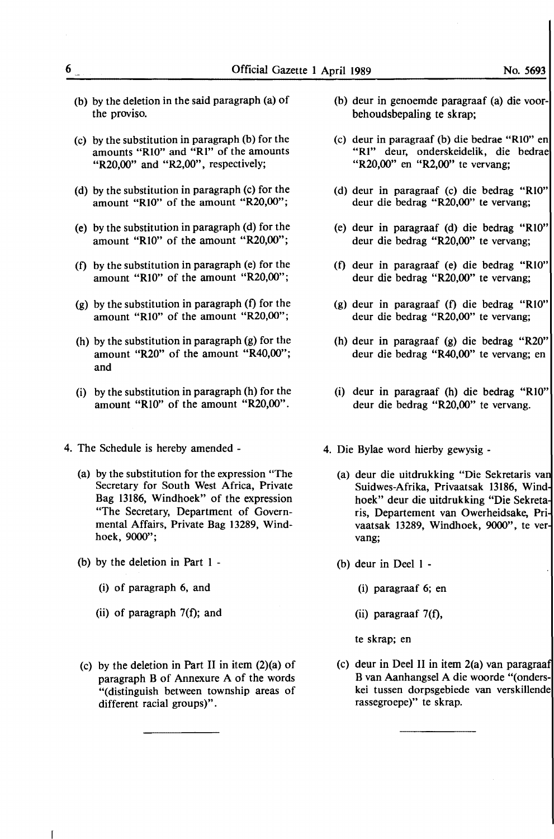- (b) by the deletion in the said paragraph (a) of the proviso.
- (c) by the substitution in paragraph (b) for the amounts **"RIO"** and **"RI"** of the amounts **"R2O,00"** and "R2,00", respectively;
- (d) by the substitution in paragraph (c) for the amount **"RIO"** of the amount **"R2O,00";**
- (e) by the substitution in paragraph (d) for the amount **"RIO"** of the amount **"R2O,00";**
- (f) by the substitution in paragraph (e) for the amount **"RIO"** of the amount **"R2O,00";**
- (g) by the substitution in paragraph (f) for the amount **"RIO"** of the amount **"R2O,00";**
- (h) by the substitution in paragraph (g) for the amount **"R2O"** of the amount **"R4O,00";**  and
- (i) by the substitution in paragraph (h) for the amount **"RIO"** of the amount **"R2O,00".**
- 4. The Schedule is hereby amended
	- (a) by the substitution for the expression "The Secretary for South West Africa, Private Bag 13186, Windhoek" of the expression "The Secretary, Department of Governmental Affairs, Private Bag 13289, Windhoek, 9000";
	- (b) by the deletion in Part 1
		- (i) of paragraph 6, and
		- (ii) of paragraph 7(f); and
	- (c) by the deletion in Part II in item  $(2)(a)$  of paragraph B of Annexure A of the words "(distinguish between township areas of different racial groups)".
- (b) deur in genoemde paragraaf (a) die voorbehoudsbepaling te skrap;
- (c) deur in paragraaf (b) die bedrae **"RIO"** en **"RI"** deur, onderskeidelik, die bedrae **"R2O,00"** en **"R2,00"** te vervang;
- (d) deur in paragraaf (c) die bedrag **"RIO"**  deur die bedrag **"R2O,00"** te vervang;
- (e) deur in paragraaf (d) die bedrag **"RIO"**  deur die bedrag **"R2O,00"** te vervang;
- (f) deur in paragraaf (e) die bedrag **"RIO"**  deur die bedrag **"R2O,00"** te vervang;
- (g) deur in paragraaf (f) die bedrag **"RIO"**  deur die bedrag **"R2O,00"** te vervang;
- (h) deur in paragraaf (g) die bedrag **"R2O"**  deur die bedrag **"R40,00"** te vervang; en
- (i) deur in paragraaf (h) die bedrag **"RIO"**  deur die bedrag **"R2O,00"** te vervang.
- 4. Die Bylae word hierby gewysig
	- (a) deur die uitdrukking "Die Sekretaris va Suidwes-Afrika, Privaatsak 13186, Wind hoek" deur die uitdrukking "Die Sekreta ris, Departement van Owerheidsake, Pri vaatsak 13289, Windhoek, 9000", te ver vang;
	- (b) deur in Deel 1
		- (i) paragraaf 6; en
		- (ii) paragraaf 7(f),

te skrap; en

(c) deur in Deel II in item 2(a) van paragraa B van Aanhangsel A die woorde "(onderskei tussen dorpsgebiede van verskillende rassegroepe)" te skrap.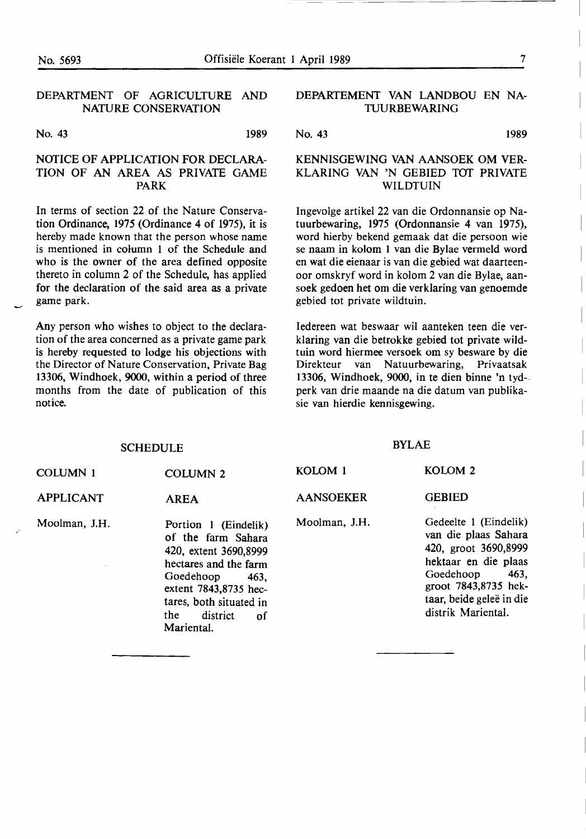$\overline{\phantom{0}}$ 

#### DEPARTMENT· OF AGRICULTURE AND NATURE CONSERVATION

No. 43 1989

#### NOTICE OF APPLICATION FOR DECLARA-TION OF AN AREA AS PRIVATE GAME **PARK**

In terms of section 22 of the Nature Conservation Ordinance, 1975 (Ordinance 4 of 1975), it is hereby made known that the person whose name is mentioned in column 1 of the Schedule and who is the owner of the area defined opposite thereto in column 2 of the Schedule, has applied for the declaration of the said area as a private game park.

Any person who wishes to object to the declaration of the area concerned as a private game park is hereby requested to lodge his objections with the Director of Nature Conservation, Private Bag 13306, Windhoek, 9000, within a period of three months from the date of publication of this notice.

**SCHEDULE** 

#### DEPARTEMENT VAN LANDBOU EN NA-TUURBEWARING

No. 43 1989

#### KENNISGEWING VAN AANSOEK OM VER-KLARING VAN 'N GEBIED TOT PRIVATE **WILDTUIN**

lngevolge artikel 22 van die Ordonnansie op Natuurbewaring, 1975 (Ordonnansie 4 van 1975), word hierby bekend gemaak dat die persoon wie se naam in kolom 1 van die Bylae vermeld word en wat die eienaar is van die gebied wat daarteenoor omskryf word in kolom 2 van die Bylae, aansoek gedoen bet om die verklaring van genoemde **gebied** tot private wildtuin.

ledereen wat beswaar wil aanteken teen die verklaring van die betrokke gebied tot private wildtuin word hiermee versoek om sy besware by die Direkteur van Natuurbewaring, Privaatsak 13306, Windhoek, 9000, in te dien binne 'n tydperk van drie maande na die datum van publikasie van hierdie kennisgewing.

#### BYLAE

| COLUMN 1         | <b>COLUMN 2</b>                                                                                                                                                                                               | KOLOM 1          | KOLOM <sub>2</sub>                                                                                                                                                                           |
|------------------|---------------------------------------------------------------------------------------------------------------------------------------------------------------------------------------------------------------|------------------|----------------------------------------------------------------------------------------------------------------------------------------------------------------------------------------------|
| <b>APPLICANT</b> | <b>AREA</b>                                                                                                                                                                                                   | <b>AANSOEKER</b> | <b>GEBIED</b>                                                                                                                                                                                |
| Moolman, J.H.    | Portion 1 (Eindelik)<br>of the farm Sahara<br>420, extent 3690,8999<br>hectares and the farm<br>Goedehoop<br>463.<br>extent 7843,8735 hec-<br>tares, both situated in<br>district<br>the.<br>of<br>Mariental. | Moolman, J.H.    | Gedeelte 1 (Eindelik)<br>van die plaas Sahara<br>420, groot 3690,8999<br>hektaar en die plaas<br>Goedehoop<br>463,<br>groot 7843,8735 hek-<br>taar, beide geleë in die<br>distrik Mariental. |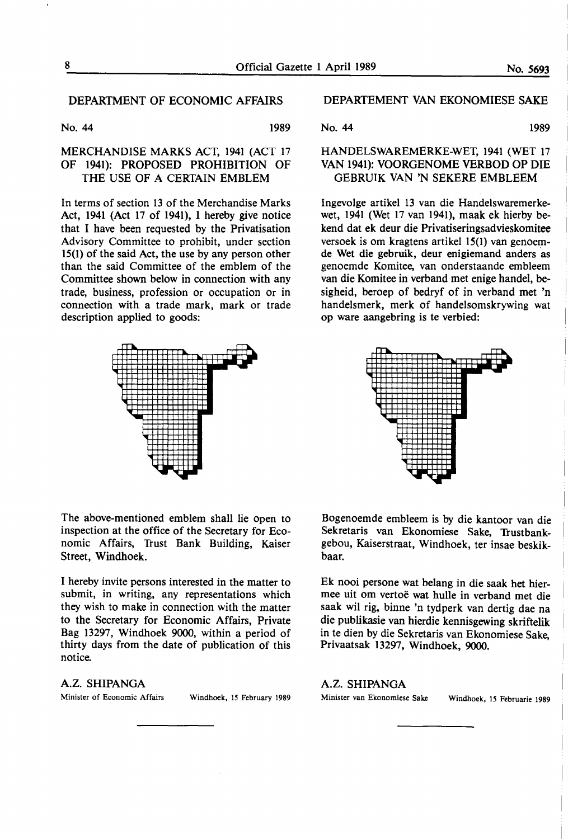#### DEPARTMENT OF ECONOMIC AFFAIRS

No. 44 1989

#### MERCHANDISE **MARKS** ACT, 1941 (ACT 17 OF 1941): PROPOSED PROHIBITION OF THE USE OF A CERTAIN EMBLEM

In terms of section 13 of the Merchandise Marks Act, 1941 (Act 17 of 1941), I hereby give notice that I have been requested by the Privatisation Advisory Committee to prohibit, under section 15(1) of the said Act, the use by any person other than the said Committee of the emblem of the Committee shown below in connection with any trade, business, profession or occupation or in connection with a trade mark, mark or trade description applied to goods:



The above-mentioned emblem shall lie open to inspection at the office of the Secretary for Economic Affairs, Trust Bank Building, Kaiser Street, **Windhoek.** 

I hereby invite persons interested in the matter to submit, in writing, any representations which they wish to **make** in connection with the matter to the Secretary for Economic Affairs, Private Bag 13297, Windhoek 9000, within a period of thirty days from the date of publication of this notice.

#### A.Z. SHIPANGA

Minister of Economic Affairs Windhoek, IS February 1989

#### DEPARTEMENT VAN EKONOMIESE SAKE

No. 44 1989

#### HANDELSWAREMERKE-WET, 1941 (WET 17 VAN 1941): VOORGENOME VERBOD OP DIE GEBRUIK VAN 'N SEKERE EMBLEEM

Ingevolge artikel 13 van die Handelswaremerkewet, 1941 (Wet 17 van 1941), maak ek hierby bekend dat ek deur die Privatiseringsadvieskomitee versoek is om kragtens artikel 15(1) van genoemde Wet die gebruik, deur enigiemand anders as genoemde Komitee, van onderstaande embleem van die Komitee in verband met enige handel, besigheid, beroep of bedryf of in verband met 'n handelsmerk, merk of handelsomskrywing wat op ware aangebring is te verbied:



Bogenoemde embleem is by die kantoor van die Sekretaris van Ekonomiese Sake, Trustbankgebou, Kaiserstraat, Windhoek, ter insae beskikbaar.

Ek nooi persone wat belang in die saak het hiermee uit om vertoe wat hulle in verband met die saak wil rig, binne 'n tydperk van dertig dae na die publikasie van hierdie kennisgewing skriftelik in te dien by die Sekretaris van Ekonomiese Sake, Privaatsak 13297, Windhoek, 9000.

A.Z. SHIPANGA Minister van Ekonomiese Sake Windhoek, IS Februarie 1989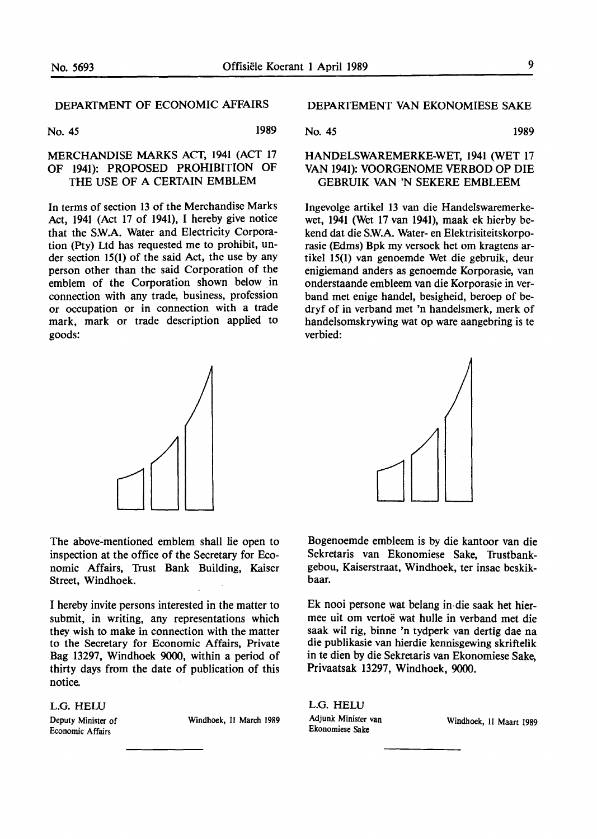## DEPARTMENT OF ECONOMIC AFFAIRS

No. 45 1989

#### MERCHANDISE MARKS ACT, 1941 (ACT 17 OF 1941): PROPOSED PROHIBITION OF THE USE OF A CERTAIN EMBLEM

In terms of section 13 of the Merchandise Marks Act, 1941 (Act 17 of 1941), I hereby give notice that the SW.A. Water and Electricity Corporation (Pty) Ltd has requested me to prohibit, under section 15(1) of the said Act, the use by any person other than the said Corporation of the emblem of the Corporation shown below in connection with any trade, business, profession or occupation or in connection with a trade mark, mark or trade description applied to goods:



The above-mentioned emblem shall lie open to inspection at the office of the Secretary for Economic Affairs, Trust Bank Building, Kaiser Street, Windhoek.

I hereby invite persons interested in the matter to submit, in writing, any representations which they wish to make in connection with the matter to the Secretary for Economic Affairs, Private Bag 13297, Windhoek 9000, within a period of thirty days from the date of publication of this notice.

L.G. HELU Deputy Minister of

Economic Affairs

Windhoek, II March 1989

DEPARTEMENT VAN EKONOMIESE SAKE

No. 45 1989

#### HANDELSWAREMERKE-WET, 1941 (WET 17 VAN 1941): VOORGENOME VERBOD OP DIE GEBRUIK VAN 'N SEKERE EMBLEEM

Ingevolge artikel 13 van die Handelswaremerkewet, 1941 (Wet 17 van 1941), maak ek hierby bekend dat die S.W.A. Water- en Elektrisiteitskorporasie (Edms) Bpk my versoek het om kragtens artikel 15(1) van genoemde Wet die gebruik, deur enigiemand anders as genoemde Korporasie, van onderstaande embleem van die Korporasie in verband met enige handel, besigheid, beroep of bedryf of in verband met 'n handelsmerk, **merk** of handelsomskrywing wat op ware aangebring is te verbied:



Bogenoemde embleem is by die kantoor van die Sekretaris van Ekonomiese Sake, Trustbankgebou, Kaiserstraat, Windhoek, ter insae beskikbaar.

Ek nooi persone wat belang in-die saak bet hiermee uit om vertoe wat hulle in verband met die saak wil rig, binne 'n tydperk van dertig dae na die publikasie van hierdie kennisgewing skriftelik in te dien by die Sekretaris van Ekonomiese Sake, Privaatsak 13297, Windhoek, 9000.

L.G. HELU Adjunk Minister van Ekonomiese Sake

Windhoek, II Maart 1989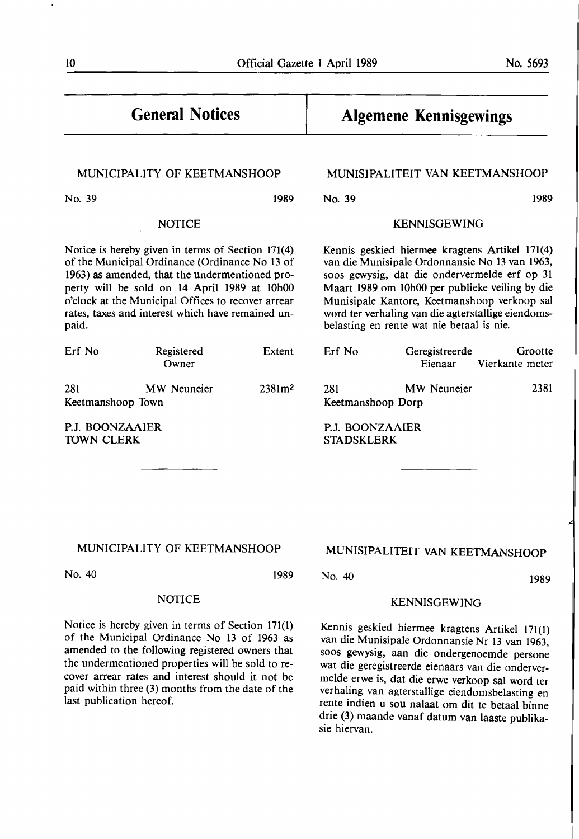#### Official Gazette 1 April 1989 No. 5693

# **General Notices**

#### MUNICIPALITY OF KEETMANSHOOP

No. 39 1989

#### NOTICE

Notice is hereby given in terms of Section 171(4) of the Municipal Ordinance (Ordinance No 13 of 1963) as amended, that the undermentioned property will be sold on 14 April 1989 at 10h00 o'clock at the Municipal Offices to recover arrear rates, taxes and interest which have remained unpaid.

| Erf No            | Registered<br>Owner | Extent             |
|-------------------|---------------------|--------------------|
| 281               | MW Neuneier         | 2381m <sup>2</sup> |
| Keetmanshoop Town |                     |                    |

P.J. BOONZAAIER TOWN CLERK

last publication hereof.

# **Algemene Kennisgewings**

#### MUNISIPALITEIT VAN KEETMANSHOOP

No. 39 1989

## KENNISGEWING

Kennis geskied hiermee kragtens Artikel 171(4) van die Munisipale Ordonnansie No 13 van 1963, soos gewysig, dat die ondervermelde erf op 31 Maart 1989 om 10h00 per publieke veiling by die Munisipale Kantore, Keetmanshoop verkoop sal word ter verhaling van die agterstallige eiendomsbelasting en rente wat nie betaal is nie.

| Erf No            | Geregistreerde | Grootte                 |
|-------------------|----------------|-------------------------|
|                   |                | Eienaar Vierkante meter |
| 281               | MW Neuneier    | 2381                    |
| Keetmanshoop Dorp |                |                         |

**P.J. BOONZAAIER STADSKLERK** 

#### MUNICIPALITY OF KEETMANSHOOP

NOTICE

Notice is hereby given in terms of Section 171(1) of the Municipal Ordinance No 13 of 1963 as amended to the following registered owners that the undermentioned properties will be sold to recover arrear rates and interest should it not be paid within three (3) months from the date of the

No. 40 1989

## No. 40 **1989**

#### KENNISGEWING

MUNISIPALITEIT VAN KEETMANSHOOP

Kennis geskied hiermee kragtens Artikel 171(1) van die Munisipale Ordonnansie Nr 13 van 1963, soos gewysig, aan die ondergenoemde persone wat die geregistreerde eienaars van die ondervermelde erwe is, dat die erwe verkoop sal word ter verhaling van agterstallige eiendomsbelasting en rente indien u sou nalaat om dit te betaal binne drie (3) maande vanaf datum van laaste publikasie hiervan.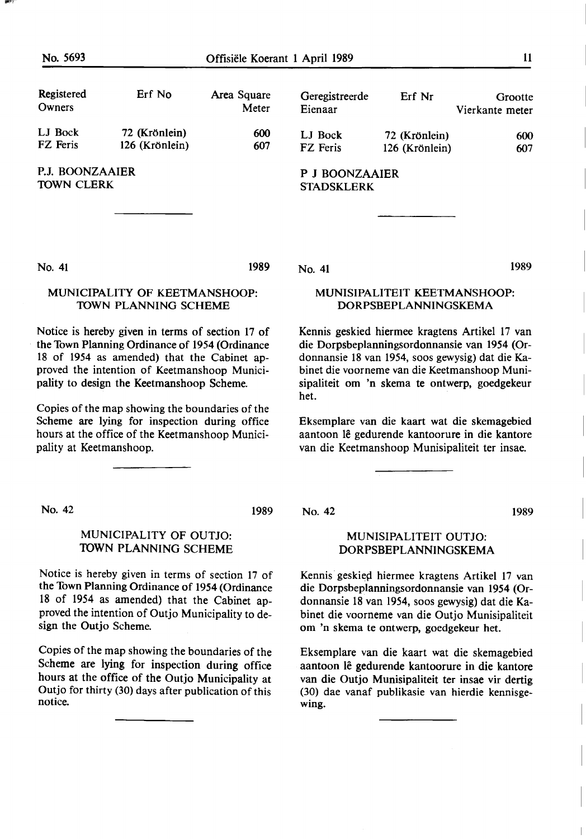| Registered<br>Owners                 | Erf No                          | Area Square<br>Meter | Geregistreerde<br>Eienaar           | Erf Nr                          | Grootte<br>Vierkante meter |
|--------------------------------------|---------------------------------|----------------------|-------------------------------------|---------------------------------|----------------------------|
| LJ Bock<br>FZ Feris                  | 72 (Krönlein)<br>126 (Krönlein) | 600<br>607           | LJ Bock<br>FZ Feris                 | 72 (Krönlein)<br>126 (Krönlein) | 600<br>607                 |
| P.J. BOONZAAIER<br><b>TOWN CLERK</b> |                                 |                      | P J BOONZAAIER<br><b>STADSKLERK</b> |                                 |                            |

No. 41

1989

#### MUNICIPALITY OF KEETMANSHOOP: TOWN PLANNING SCHEME

Notice is hereby given in terms of section 17 of the Town Planning Ordinance of 1954 (Ordinance 18 of 1954 as amended) that the Cabinet approved the intention of Keetmanshoop Municipality to design the Keetmanshoop Scheme.

Copies of the map showing the boundaries of the Scheme are lying for inspection during office hours at the office of the Keetmanshoop Municipality at Keetmanshoop.

No. 42 1989

#### MUNICIPALITY OF OUTJO: TOWN PLANNING SCHEME

Notice is hereby given in terms of section 17 of the Town Planning Ordinance of 1954 (Ordinance 18 of 1954 as amended) that the Cabinet approved the intention of Outjo Municipality to design the Outjo Scheme.

Copies of the map showing the boundaries of the Scheme are lying for inspection during office hours at the office of the Outjo Municipality at Outjo for thirty (30) days after publication of this notice.

No. 41

No. 42 1989

#### MUNISIPALITEIT OUTJO: DORPSBEPLANNINGSKEMA

MUNISIPALITEIT KEETMANSHOOP: DORPSBEPLANNINGSKEMA

Kennis geskied hiermee kragtens Artikel 17 van die Dorpsbeplanningsordonnansie van 1954 (Ordonnansie 18 van 1954, soos gewysig) dat die Kabinet die voorneme van die Keetmanshoop Munisipaliteit om 'n skema te ontwerp, goedgekeur

Eksemplare van die kaart wat die skemagebied aantoon lê gedurende kantoorure in die kantore van die Keetmanshoop Munisipaliteit ter insae.

het. **heter** and the state of the state of the state of the state of the state of the state of the state of the state of the state of the state of the state of the state of the state of the state of the state of the state

Kennis geskied hiermee kragtens Artikel 17 van die Dorpsbeplanningsordonnansie van 1954 (Ordonnansie 18 van 1954, soos gewysig) dat die Kabinet die voorneme van die Outjo Munisipaliteit om 'n skema te ontwerp, goedgekeur het.

Eksemplare van die kaart wat die skemagebied aantoon lê gedurende kantoorure in die kantore van die Outjo Munisipaliteit ter insae vir dertig (30) dae vanaf publikasie van hierdie kennisgewing.

1989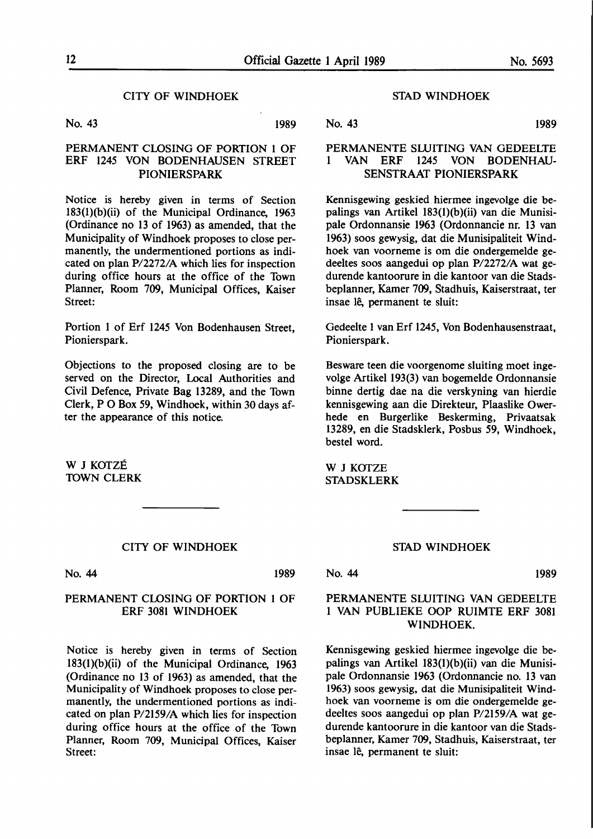#### CITY OF WINDHOEK

No. 43 1989

#### PERMANENT CLOSING OF PORTION 1 OF ERF 1245 VON BODENHAUSEN STREET **PIONIERSPARK**

Notice is hereby given in terms of Section 183(l)(b)(ii) of the Municipal Ordinance, 1963 (Ordinance no 13 of 1963) as amended, that the Municipality of Windhoek proposes to close permanently, the undermentioned portions as indicated on plan P/2272/A which lies for inspection during office hours at the office of the Town Planner, Room 709, Municipal Offices, Kaiser Street:

Portion I of Erf 1245 Von Bodenhausen Street, Pionierspark.

Objections to the proposed closing are to be served on the Director, Local Authorities and Civil Defence, Private Bag 13289, and the Town Clerk, P O Box 59, Windhoek, within 30 days after the appearance of this notice.

W J KOTZÉ 10WN CLERK

#### CITY OF WINDHOEK

No. 44 1989

#### PERMANENT CLOSING OF PORTION 1 OF ERF 3081 WINDHOEK

Notice is hereby given in terms of Section 183(l)(b)(ii) of the Municipal Ordinance, 1963 (Ordinance no 13 of 1963) as amended, that the Municipality of Windhoek proposes to close permanently, the undermentioned portions as indicated on plan P/2159/A which lies for inspection during office hours at the office of the Town Planner, Room 709, Municipal Offices, Kaiser Street:

#### STAD WINDHOEK

No. 43 1989

#### PERMANENTE SLUITING VAN GEDEELTE I VAN ERF 1245 VON BODENHAU-SENSTRAAT **PIONIERSPARK**

Kennisgewing geskied hiermee ingevolge die bepalings van Artikel 183(l)(b)(ii) van die Munisipale Ordonnansie 1963 (Ordonnancie nr. 13 van 1963) soos gewysig, dat die Munisipaliteit Windhoek van voorneme is om die ondergemelde gedeeltes soos aangedui op plan P/2272/A wat gedurende kantoorure in die kantoor van die Stadsbeplanner, Kamer 709, Stadhuis, Kaiserstraat, ter insae lê, permanent te sluit:

Gedeelte 1 van Erf 1245, Von Bodenhausenstraat, Pionierspark.

Besware teen die voorgenome sluiting moet ingevolge Artikel 193(3) van bogemelde Ordonnansie binne dertig dae na die verskyning van hierdie kennisgewing aan die Direkteur, Plaaslike Owerhede en Burgerlike Beskerming, Privaatsak 13289, en die Stadsklerk, Posbus 59, Windhoek, bestel word.

W J KOTZE STADSKLERK

#### STAD WINDHOEK

No. 44 1989

#### PERMANENTE SLUITING VAN GEDEELTE I VAN PUBLIEKE OOP RUIMTE ERF 3081 WINDHOEK.

Kennisgewing geskied hiermee ingevolge die bepalings van Artikel 183(l)(b)(ii) van die Munisipale Ordonnansie 1963 (Ordonnancie no. 13 van 1963) soos gewysig, dat die Munisipaliteit Windhoek van voorneme is om die ondergemelde gedeeltes soos aangedui op plan P/2159/A wat gedurende kantoorure in die kantoor van die Stadsbeplanner, Kamer 709, Stadhuis, Kaiserstraat, ter insae lê, permanent te sluit: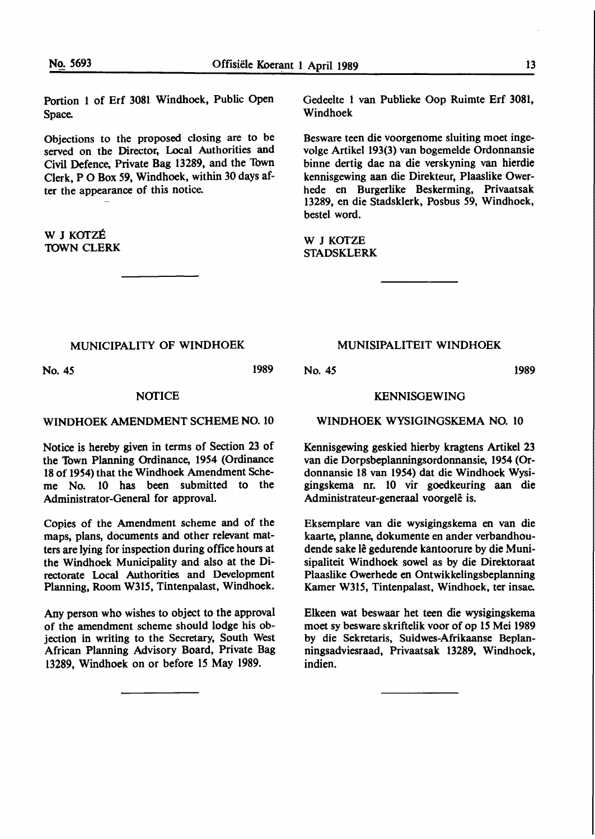Portion 1 of Erf 3081 Windhoek, Public Open Space.

Objections to the proposed closing are to be served on the Director, Local Authorities and Civil Defence, Private Bag 13289, and the Town Clerk, P O Box 59, Windhoek, within 30 days after the appearance of this notice.

W J KOTZE 10WN CLERK

No. *45* 

Gedeelte 1 van Publieke Oop Ruimte Erf 3081, Windhoek

Besware teen die voorgenome sluiting moet ingevolge Artikel 193(3) van bogemelde Ordonnansie binne dertig dae na die verskyning van hierdie kennisgewing aan die Direkteur, Plaaslike Owerhede en Burgerlike Beskerming, Privaatsak 13289, en die Stadsklerk, Posbus *59,* Windhoek, bestel word.

W J KOTZE STADSKLERK

#### MUNICIPALITY OF WINDHOEK

1989

#### **NOTICE**

#### WINDHOEK AMENDMENT SCHEME NO. 10

Notice is hereby given in terms of Section 23 of the Town Planning Ordinance, 1954 (Ordinance 18 of 1954) that the Windhoek Amendment Scheme No. 10 has been submitted to the Administrator-General for approval.

Copies of the Amendment scheme and of the maps, plans, documents and other relevant matters are lying for inspection during office hours at the Windhoek Municipality and also at the Directorate Local **Authorities** and Development Planning, Room **W315,** Tintenpalast, Windhoek.

Any person who wishes to object to the approval of the amendment scheme should lodge his objection in writing to the Secretary, South West African Planning Advisory Board, Private Bag 13289, Windhoek on or before 15 May 1989.

#### MUNISIPALITEIT WINDHOEK

No. *45* 1989

#### KENNISGEWING

#### WINDHOEK WYSIGINGSKEMA NO. 10

Kennisgewing geskied hierby kragtens Artikel 23 van die Dorpsbeplanningsordonnansie, 1954 (Ordonnansie 18 van 19S4) dat die Windhoek Wysigingskema nr. 10 vir goedkeuring aan die Administrateur-generaal voorgelê is.

Eksemplare van die wysigingskema en van die kaarte, planne, dokumente en ander verbandhoudende sake lê gedurende kantoorure by die Munisipaliteit Windhoek sowel as by die Direktoraat Plaaslike Owerhede en Ontwikkelingsbeplanning Kamer W315, Tintenpalast, Windhoek, ter insae.

Elkeen wat beswaar het teen die wysigingskema moet sy besware skriftelik voor of op 15 Mei 1989 by die Sekretaris, Suidwes-Afrikaanse Beplanningsadviesraad, Privaatsak 13289, Windhoek, indien.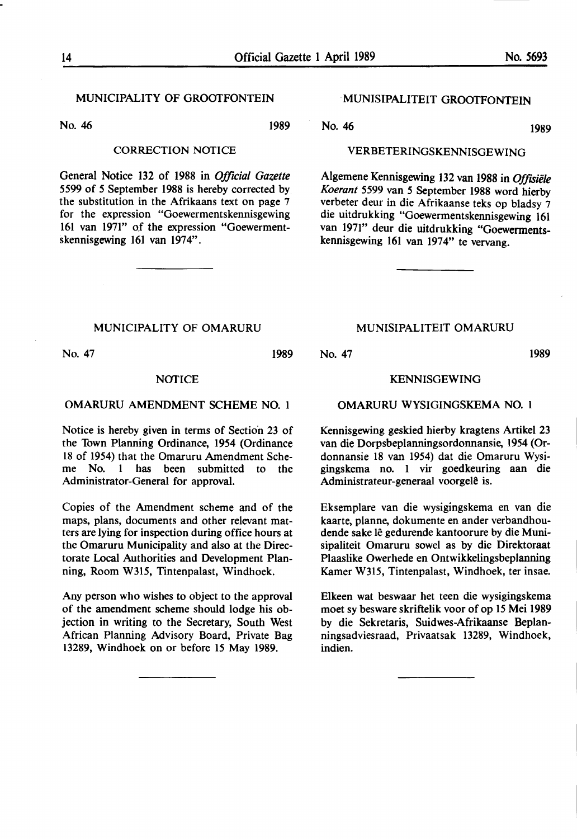1989

#### MUNICIPALITY OF GROOTFONTEIN

No. 46 1989

#### CORRECTION NOTICE

General Notice 132 of 1988 in *Official Gazette 5599* of *5* September 1988 is hereby corrected by the substitution in the Afrikaans text on page 7 for the expression "Goewermentskennisgewing 161 van 1971" of the expression "Goewermentskennisgewing 161 van 1974".

#### · MUNISIPALITEIT GROOTFONTEIN

No. 46

#### VERBETERINGSKENNISGEWING

Algemene Kennisgewing 132 van 1988 in Offisiële *Koerant 5599* van *5* September 1988 word hierby verbeter deur in die Afrikaanse teks op bladsy 7 die uitdrukking "Goewermentskennisgewing 161 van 1971" deur die uitdrukking "Goewermentskennisgewing 161 van 1974" te vervang.

#### MUNICIPALITY OF OMARURU

No. 47

#### 1989

#### NOTICE

#### OMARURU AMENDMENT SCHEME NO. 1

Notice is hereby given in terms of Section 23 of the Town Planning Ordinance, 1954 (Ordinance 18 of 1954) that the Omaruru Amendment Scheme No. 1 has been submitted to the Administrator-General for approval.

Copies of the Amendment scheme and of the maps, plans, documents and other relevant matters are lying for inspection during office hours at the Omaruru Municipality and also at the Directorate Local Authorities and Development Planning, Room W315, Tintenpalast, Windhoek.

Any person who wishes to object to the approval of the amendment scheme should lodge his objection in writing to the Secretary, South West African Planning Advisory Board, Private Bag 13289, Windhoek on or before 15 May 1989.

#### MUNISIPALITEIT OMARURU

#### No. 47 1989

#### **KENNISGEWING**

#### OMARURU WYSIGINGSKEMA NO. 1

Kennisgewing geskied hierby kragtens Artikel 23 van die Dorpsbeplanningsordonnansie, 1954 (Ordonnansie 18 van 1954) dat die Omaruru Wysigingskema no. 1 vir goedkeuring aan die Administrateur-generaal voorgelê is.

Eksemplare van die wysigingskema en van die kaarte, planne, dokumente en ander verbandhoudende sake lê gedurende kantoorure by die Munisipaliteit Omaruru sowel as by die Direktoraat Plaaslike Owerhede en Ontwikkelingsbeplanning Kamer W315, Tintenpalast, Windhoek, ter insae.

Elkeen wat beswaar bet teen die wysigingskema moet sy besware skriftelik voor of op 15 Mei 1989 by die Sekretaris, Suidwes-Afrikaanse Beplanningsadviesraad, Privaatsak 13289, Windhoek, indien.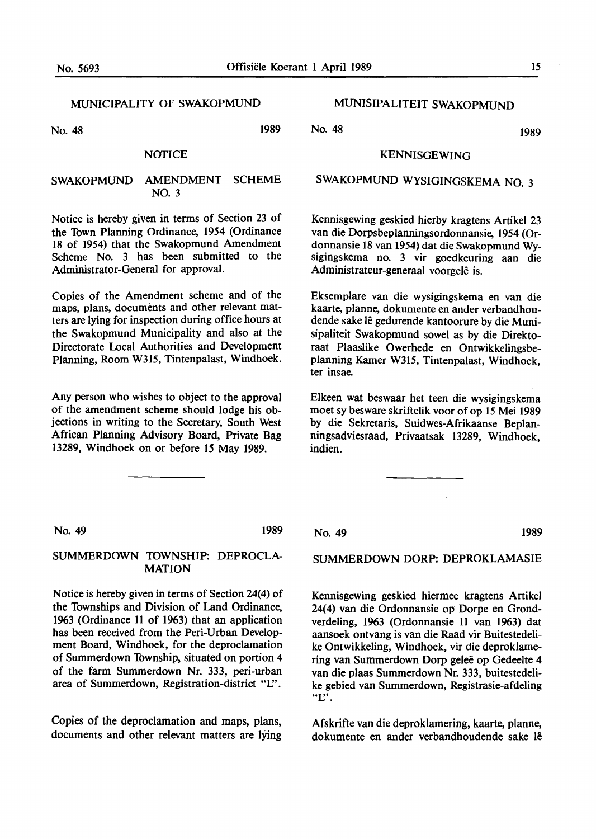#### MUNICIPALITY OF SWAKOPMUND

No. 48 1989

#### **NOTICE**

#### SWAKOPMUND AMENDMENT SCHEME NO. 3

Notice is hereby given in terms of Section 23 of the Town Planning Ordinance, 1954 (Ordinance 18 of 1954) that the Swakopmund Amendment Scheme No. 3 has been submitted to the Administrator-General for approval.

Copies of the Amendment scheme and of the maps, plans, documents and other relevant matters are lying for inspection during office hours at the Swakopmund Municipality and also at the Directorate Local Authorities and Development Planning, Room W315, Tintenpalast, Windhoek.

Any person who wishes to object to the approval of the amendment scheme should lodge his objections in writing to the Secretary, South West African Planning Advisory Board, Private Bag 13289, Windhoek on or before 15 May 1989.

### MUNISIPALITEIT SWAKOPMUND

No. 48 1989

#### KENNISGEWING

## SWAKOPMUND WYSIGINGSKEMA **NO.** 3

Kennisgewing geskied hierby kragtens Artikel 23 van die Dorpsbeplanningsordonnansie, 1954 (Ordonnansie 18 van 1954) dat die Swakopmund Wysigingskema no. 3 vir goedkeuring aan die Administrateur-generaal voorgelê is.

Eksemplare van die wysigingskema en van die kaarte, planne, dokumente en ander verbandhoudende sake lê gedurende kantoorure by die Munisipaliteit Swakopmund sowel as by die Direktoraat Plaaslike Owerhede en Ontwikkelingsbeplanning Kamer W315, Tintenpalast, Windhoek, ter insae.

Elkeen wat beswaar het teen die wysigingskema moet sy besware skriftelik voor of op 15 Mei 1989 by die Sekretaris, Suidwes-Afrikaanse Beplanningsadviesraad, Privaatsak 13289, Windhoek, indien.

No. 49 1989

#### SUMMERDOWN 1DWNSHIP: DEPROCLA-MATION

Notice is hereby given in terms of Section 24(4) of the Townships and Division of Land Ordinance, 1963 (Ordinance 11 of 1963) that an application has been received from the Peri-Urban Development Board, Windhoek, for the deproclamation of Summerdown Township, situated on portion 4 of the farm Summerdown Nr. 333, peri-urban area of Summerdown, Registration-district "L".

Copies of the deproclamation and maps, plans, documents and other relevant matters are lying No. 49 1989

SUMMERDOWN DORP: DEPROKLAMASIE

Kennisgewing geskied hiermee kragtens Artikel 24(4) van die Ordonnansie op Dorpe en Grondverdeling, 1963 (Ordonnansie 11 van 1963) dat aansoek ontvang is van die Raad vir Buitestedelike Ontwikkeling, Windhoek, vir die deproklamering van Summerdown Dorp gelee op Gedeelte 4 van die plaas Summerdown Nr. 333, buitestedelike gebied van Summerdown, Registrasie-afdeling "L".

Afskrifte van die deproklamering, kaarte, planne, dokumente en ander verbandhoudende sake **le**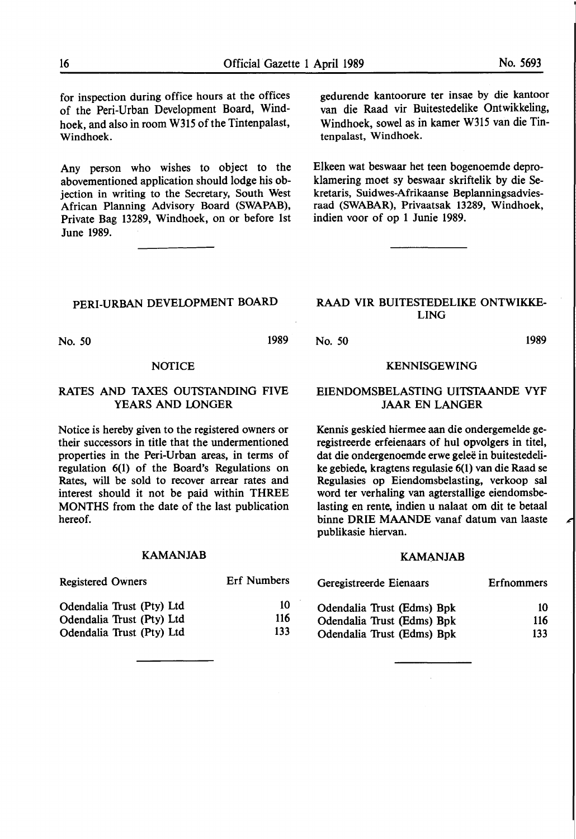for inspection during office hours at the offices of the Peri-Urban Development Board, Windhoek, and also in room W315 of the Tintenpalast, Windhoek.

Any person who wishes to object to the abovementioned application should lodge his objection in writing to the Secretary, South West African Planning Advisory Board (SWAPAB), Private Bag 13289, Windhoek, on or before 1st June 1989.

PERI-URBAN DEVELOPMENT BOARD

No. *50* 1989

#### **NOTICE**

#### RATES AND TAXES OUTSTANDING FIVE YEARS AND LONGER

Notice is hereby given to the registered owners or their successors in title that the undermentioned properties in the Peri-Urban areas, in terms of regulation 6(1) of the Board's Regulations on Rates, will be sold to recover arrear rates and interest should it not be paid within THREE MONTHS from the date of the last publication hereof.

#### **KAMANJAB**

| <b>Registered Owners</b>  | <b>Erf Numbers</b> | Geregistreerde Eienaars    | <b>Erfnommers</b> |
|---------------------------|--------------------|----------------------------|-------------------|
| Odendalia Trust (Pty) Ltd | 10                 | Odendalia Trust (Edms) Bpk | 10                |
| Odendalia Trust (Pty) Ltd | 116                | Odendalia Trust (Edms) Bpk | 116               |
| Odendalia Trust (Pty) Ltd | 133                | Odendalia Trust (Edms) Bpk | 133               |

gedurende kantoorure ter insae by die kantoor van die Raad vir Buitestedelike Ontwikkeling, Windhoek, sowel as in kamer W315 van die Tintenpalast, Windhoek.

Elkeen wat beswaar bet teen bogenoemde deproklamering moet sy beswaar skriftelik by die Sekretaris, Suidwes-Afrikaanse Beplanningsadviesraad (SWABAR), Privaatsak 13289, Windhoek, indien voor of op 1 Junie 1989.

#### **RAAD VIR** BUITESTEDELIKE **ONTWIKKE-LING**

No. *50* 1989

#### **KENNISGEWING**

#### EIENDOMSBELASTING UITSTAANDE VYF JAAR EN LANGER

Kennis geskied hiermee aan die ondergemelde geregistreerde erfeienaars of hul opvolgers in titel, dat die ondergenoemde erwe geleë in buitestedelike gebiede, kragtens regulasie 6(1) van die Raad se Regulasies op Eiendomsbelasting, verkoop sal word ter verhaling van agterstallige eiendomsbelasting en rente, indien u nalaat om dit te betaal binne **DRIE MAANDE** vanaf datum van laaste publikasie hiervan.

#### **KAMANJAB**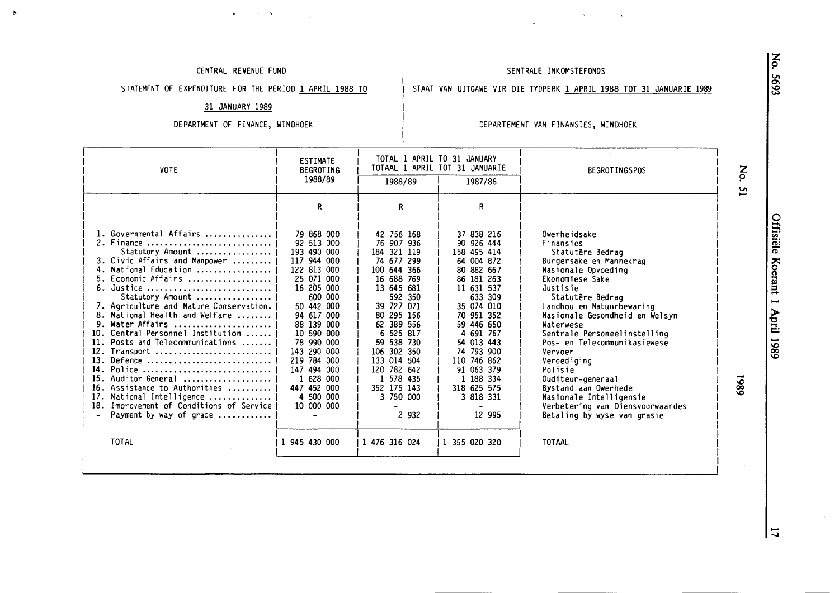#### CENTRAL REVENUE FUND

**Contractor** 

 $\bullet$ 

#### SENTRALE INKOMSTEFONDS

STATEMENT OF EXPENDITURE FOR THE PERIOD 1 APRIL 1988 TO

#### STAAT VAN UITGAWE VIR DIE TYDPERK 1 APRIL 1988 TOT 31 JANUARIE 1989

31 JANUARY 1989

#### DEPARTMENT OF FINANCE, WINDHOEK

#### DEPARTEMENT VAN FINANSIES, WINDHOEK

 $\sim 10^7$ 

| <b>VOTE</b>                                                                                                                                                                                                                                                                                                                                                                                                                                                                                                                                                         | ESTIMATE<br><b>BEGROTING</b>                                                                                                                                                                                                                                                           |                                                                                                                                                                                                                                                                                   | TOTAL 1 APRIL TO 31 JANUARY<br>TOTAAL 1 APRIL TOT 31 JANUARIE                                                                                                                                                                                                                 | <b>BEGROTINGSPOS</b>                                                                                                                                                                                                                                                                                                                                                                                                                                                           | No.            |
|---------------------------------------------------------------------------------------------------------------------------------------------------------------------------------------------------------------------------------------------------------------------------------------------------------------------------------------------------------------------------------------------------------------------------------------------------------------------------------------------------------------------------------------------------------------------|----------------------------------------------------------------------------------------------------------------------------------------------------------------------------------------------------------------------------------------------------------------------------------------|-----------------------------------------------------------------------------------------------------------------------------------------------------------------------------------------------------------------------------------------------------------------------------------|-------------------------------------------------------------------------------------------------------------------------------------------------------------------------------------------------------------------------------------------------------------------------------|--------------------------------------------------------------------------------------------------------------------------------------------------------------------------------------------------------------------------------------------------------------------------------------------------------------------------------------------------------------------------------------------------------------------------------------------------------------------------------|----------------|
|                                                                                                                                                                                                                                                                                                                                                                                                                                                                                                                                                                     | 1988/89                                                                                                                                                                                                                                                                                | 1988/89                                                                                                                                                                                                                                                                           | 1987/88                                                                                                                                                                                                                                                                       |                                                                                                                                                                                                                                                                                                                                                                                                                                                                                | $\overline{a}$ |
|                                                                                                                                                                                                                                                                                                                                                                                                                                                                                                                                                                     | R                                                                                                                                                                                                                                                                                      | R.                                                                                                                                                                                                                                                                                | R                                                                                                                                                                                                                                                                             |                                                                                                                                                                                                                                                                                                                                                                                                                                                                                |                |
| 1. Governmental Affairs<br>2. Finance<br>Statutory Amount<br>3. Civic Affairs and Manpower<br>4. National Education<br>5. Economic Affairs<br>6. Justice<br>Statutory Amount<br>7. Agriculture and Nature Conservation.<br>8. National Health and Welfare<br>9. Water Affairs<br>10. Central Personnel Institution<br>11. Posts and Telecommunications<br>12. Transport<br>13. Defence<br>14. Police<br>Auditor General<br>15.<br>16. Assistance to Authorities<br>17. National Intelligence<br>18. Improvement of Conditions of Service<br>Payment by way of grace | 79 868 000<br>92 513 000<br>193 490 000<br>117 944 000<br>122 813 000<br>25 071 000<br>16 205 000<br>600 000<br>50 442 000<br>94 617 000<br>88 139 000<br>10 590 000<br>78 990 000<br>143 290 000<br>219 784 000<br>147 494 000<br>1 628 000<br>447 452 000<br>4 500 000<br>10 000 000 | 42 756 168<br>76 907 936<br>184 321 119<br>74 677 299<br>100 644 366<br>16 688 769<br>13 645 681<br>592 350<br>39 727 071<br>80 295 156<br>62 389 556<br>6 525 817<br>59 538 730<br>106 302 350<br>133 014 504<br>120 782 642<br>1 578 435<br>352 175 143<br>3 750 000<br>2 9 3 2 | 37 838 216<br>90 926 444<br>158 495 414<br>64 004 872<br>80 882 667<br>86 181 263<br>11 631 537<br>633 309<br>35 074 010<br>70 951 352<br>59 446 650<br>4 691 767<br>54 013 443<br>74 793 900<br>110 746 862<br>91 063 379<br>1 188 334<br>318 625 575<br>3 818 331<br>12 995 | Owerheidsake<br>Finansies<br>Statutêre Bedrag<br>Burgersake en Mannekrag<br>Nasionale Opvoeding<br>Ekonomiese Sake<br>Justisie<br>Statutêre Bedraq<br>Landbou en Natuurbewaring<br>Nasionale Gesondheid en Welsyn<br>Waterwese<br>Sentrale Personeelinstelling<br>Pos- en Telekommunikasiewese<br>Vervoer<br>Verdediging<br>Polisie<br>Ouditeur-generaal<br>Bystand aan Owerhede<br>Nasionale Intelligensie<br>Verbetering van Diensvoorwaardes<br>Betaling by wyse van grasie | 1980           |
| <b>TOTAL</b>                                                                                                                                                                                                                                                                                                                                                                                                                                                                                                                                                        | 1 945 430 000                                                                                                                                                                                                                                                                          | 1 476 316 024                                                                                                                                                                                                                                                                     | 1 355 020 320                                                                                                                                                                                                                                                                 | TOTAAL                                                                                                                                                                                                                                                                                                                                                                                                                                                                         |                |